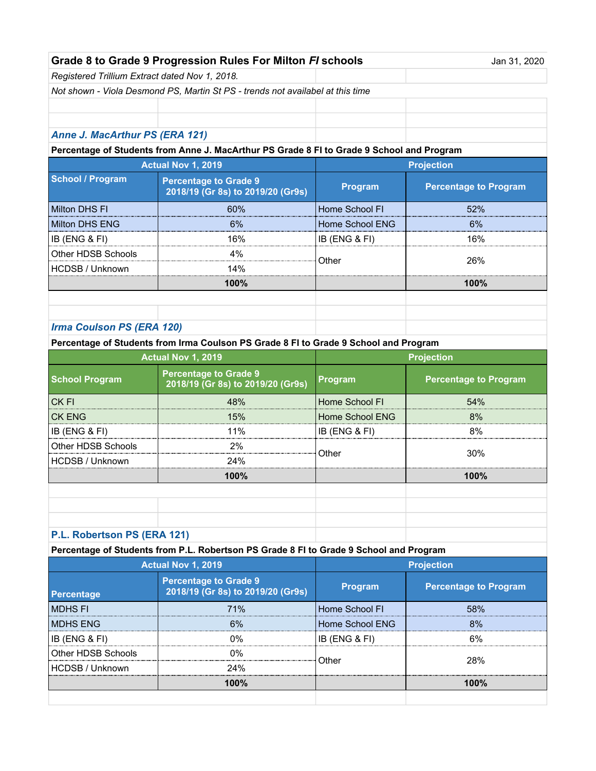| Grade 8 to Grade 9 Progression Rules For Milton FI schools | Jan 31, 2020 |
|------------------------------------------------------------|--------------|
|                                                            |              |

*Registered Trillium Extract dated Nov 1, 2018.* 

*Not shown - Viola Desmond PS, Martin St PS - trends not availabel at this time*

## *Anne J. MacArthur PS (ERA 121)*

**Percentage of Students from Anne J. MacArthur PS Grade 8 FI to Grade 9 School and Program**

| <b>Actual Nov 1, 2019</b> |                                                                   | <b>Projection</b> |                              |
|---------------------------|-------------------------------------------------------------------|-------------------|------------------------------|
| School / Program          | <b>Percentage to Grade 9</b><br>2018/19 (Gr 8s) to 2019/20 (Gr9s) | <b>Program</b>    | <b>Percentage to Program</b> |
| Milton DHS FI             | 60 <sub>%</sub>                                                   | Home School Fl    | 52%                          |
| Milton DHS ENG            | 6%                                                                | Home School ENG   | 6%                           |
| IB (ENG & FI)             | 16%                                                               | IB (ENG & FI)     | 16%                          |
| Other HDSB Schools        | 4%                                                                | Other             | 26%                          |
| HCDSB / Unknown           | 14%                                                               |                   |                              |
|                           | 100%                                                              |                   | $100\%$                      |
|                           |                                                                   |                   |                              |
|                           |                                                                   |                   |                              |

### *Irma Coulson PS (ERA 120)*

**Percentage of Students from Irma Coulson PS Grade 8 FI to Grade 9 School and Program**

| <b>Actual Nov 1, 2019</b> |                                                                   | <b>Projection</b> |                              |
|---------------------------|-------------------------------------------------------------------|-------------------|------------------------------|
| <b>School Program</b>     | <b>Percentage to Grade 9</b><br>2018/19 (Gr 8s) to 2019/20 (Gr9s) | Program           | <b>Percentage to Program</b> |
| <b>CKFI</b>               | 48%                                                               | Home School FI    | 54%                          |
| ICK ENG                   | 15%                                                               | Home School ENG   | 8%                           |
| IB (ENG & FI)             | 11%                                                               | $IB$ (ENG & FI)   | 8%                           |
| Other HDSB Schools        | 2%                                                                |                   | 30%                          |
| <b>HCDSB / Unknown</b>    | 24%                                                               | Other             |                              |
|                           | 100%                                                              |                   | 100%                         |
|                           |                                                                   |                   |                              |
|                           |                                                                   |                   |                              |
|                           |                                                                   |                   |                              |
| Bakaitaan BO (FBA 404)    |                                                                   |                   |                              |

#### **P.L. Robertson PS (ERA 121)**

#### **Percentage of Students from P.L. Robertson PS Grade 8 FI to Grade 9 School and Program**

|                          | <b>Actual Nov 1, 2019</b>                                         |                 | <b>Projection</b>            |
|--------------------------|-------------------------------------------------------------------|-----------------|------------------------------|
| <b>Percentage</b>        | <b>Percentage to Grade 9</b><br>2018/19 (Gr 8s) to 2019/20 (Gr9s) | <b>Program</b>  | <b>Percentage to Program</b> |
| IMDHS FI                 | 71%                                                               | Home School FI  | 58%                          |
| <b>IMDHS ENG</b>         | 6%                                                                | Home School ENG | 8%                           |
| <b>IB (ENG &amp; FI)</b> | በ%                                                                | IB (ENG & FI)   | 6%                           |
| Other HDSB Schools       | $0\%$                                                             | Other           | 28%                          |
| HCDSB / Unknown          | 24%                                                               |                 |                              |
|                          | 100%                                                              |                 | 100%                         |
|                          |                                                                   |                 |                              |